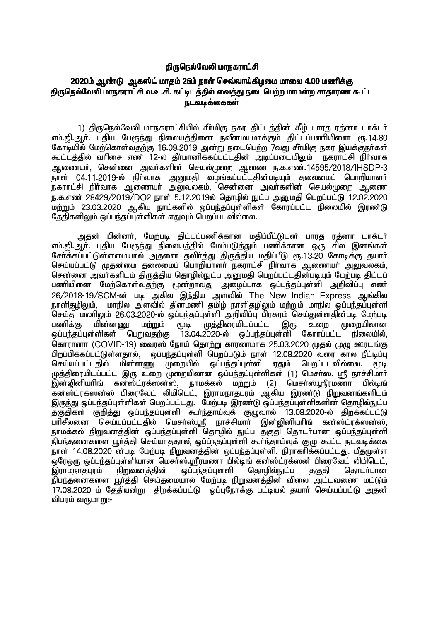### திருநெல்வேலி மாநகராட்சி

# 2020ம் ஆண்டு ஆகஸ்ட் மாதம் 25ம் நாள் செவ்வாய்கிழமை மாலை 4.00 மணிக்கு திருநெல்வேலி மாநகராட்சி வ.உ.சி. கட்டிடத்தில் வைத்து நடைபெற்ற மாமன்ற சாதாரண கூட்ட நடவடிக்கைகள்

1) திருநெல்வேலி மாநகராட்சியில் சீா்மிகு நகர திட்டத்தின் கீழ் பாரத ரத்னா டாக்டா் எம்.ஜி.ஆர். புதிய பேரூந்து நிலையத்தினை நவீனமயமாக்கும் திட்டப்பணியினை ரூ.14.80 கோடியில் மேற்கொள்வதற்கு 16.09.2019 அன்று நடைபெற்ற 7வது சீர்மிகு நகர இயக்குநர்கள் கூட்டத்தில் வரிசை எண் 12-ல் தீர்மானிக்கப்பட்டதின் அடிப்படையிலும் நகராட்சி நிர்வாக Mizah;> nrd;id mth;fspd; nray;Kiw Miz e.f.vz;.14595/2018/IHSDP-3 நாள் 04.11.2019-ல் நிர்வாக அறுமதி வழங்கப்பட்டதின்படியும் தலைமைப் பொரியாளர் ் படம்பட்ட முடிப்பட்ட முடிப்பட்ட முடிப்பட்ட முடிப்பட்ட முடிப்பட்ட முடிப்பட்ட முடிப்பட்ட முடிப்பட்ட முடிப்பட்ட<br>நகராட்சி நிர்வாக ஆணையர் அலுவலகம், சென்னை அவர்களின் செயல்முறை ஆணை ந.க.எண் 28429/2019/DO2 நாள் 5.12.2019ல் தொழில் நுட்ப அனுமதி பெறப்பட்டு 12.02.2020 ,<br>மற்றும் 23.03.2020 ஆகிய நாட்களில் ஒப்பந்தப்புள்ளிகள் கோரப்பட்ட நிலையில் இரண்டு  $\,$ தேதிகளிலும் ஒப்பந்தப்புள்ளிகள் எதுவும் பொப்படவில்லை.

அதன் பின்னர், மேற்படி திட்டப்பணிக்கான மதிப்பீட்டுடன் பாரத ரத்னா டாக்டர் எம்.<u>வி, ஆ</u>ா். புதிய பேரூந்து நிலையத்தில் மேம்படுத்தும் பணிக்கான ஒரு சில இனங்கள் சேர்க்கப்பட்டுள்ளமையால் அதனை தவிர்த்து திருத்திய மதிப்பீடு ரூ.13.20 கோடிக்கு தயார் செய்யப்பட்டு முதன்மை தலைமைப் பொறியாளர் நகராட்சி நிர்வாக ஆணையர் அலுவலகம், சென்னை அவர்களிடம் திருத்திய தொழில்நுட்ப அனுமதி பெறப்பட்டதின்படியும் மேற்படி திட்டப் பணியினை மேற்கொள்வதற்கு மூன்றாவது அழைப்பாக ஒப்பந்தப்புள்ளி அறிவிப்பு எண் 26/2018-19/SCM-ன் படி அகில இந்திய அளவில் The New Indian Express ஆங்கில நாளிதழிலும், மாநில அளவில் தின்மணி தமிழ் நாளிதழிலும் மற்றும் மாநில ஒப்பந்தப்புள்ளி .<br>செய்தி மலரிலும் 26.03.2020-ல் ஒப்பந்தப்புள்ளி அறிவிப்பு பிரசுரம் செய்துள்ளதின்படி மேற்படி<br>பணிக்கு மின்னணு மற்றும் மூடி முத்திரையிடப்பட்ட இரு உறை முறையிலான பணிக்கு மின்னணு மற்றும் மூடி முத்திரையிடப்பட்ட இரு உறை முறையிலான<br>ஒப்பந்தப்புள்ளிகள் பெறுவதற்கு 13.04.2020-ல் ஒப்பந்தப்புள்ளி கோரப்பட்ட நிலையில். <u>ஓப்பந்த</u>ப்புள்ளி கோரப்பட்ட கொரானா (COVID-19) வைரஸ் நோய் தொற்று காரணமாக 25.03.2020 முதல் முழு ஊரடங்கு பிறப்பிக்கப்பட்டுள்ளதால், ஒப்பந்தப்புள்ளி பெறப்படும் நாள் 12.08.2020 வரை கால நீட்டிப்பு செய்யப்பட்டதில் மின்னணு முறையில் ஒப்பந்தப்புள்ளி எதும் பெறப்படவில்லை. முடி முத்திரையிடப்பட்ட இரு உறை முறையிலான ஒப்பந்தப்புள்ளிகள் (1) மெசா்ஸ. ஸ்ரீ நாச்சிமாா்<br>இன்றினியாிங் கன்ஸ்ட்ாக்ஸன்ஸ். நாமக்கல் மா்மும் (2) மெசா்ஸ்.மாீாமணா பில்டிங்  $\tilde{Q}$ ன்ஜினியரிங் கன்ஸ்ட்ரக்ஸன்ஸ், நாமக்கல் மற்றும் (2) மெசா்ஸ்.ஸ்ரீரமணா கன்ஸ்ட்ரக்ஸன்ஸ் பிரைவேட் லிமிடெட், இராமநாதபுரம் ஆகிய இரண்டு நிறுவனங்களிடம் இருந்து ஒப்பந்தப்புள்ளிகள் பெறப்பட்டது. மேற்படி இரண்டு ஒப்பந்தப்புள்ளிகளின் தொழில்நுட்ப தகுதிகள் குறித்து ஒப்பந்தப்புள்ளி கூா்ந்தாய்வுக் குழுவால் 13.08.2020-ல் திறக்கப்பட்டு து<u>குகமான செய்யப்பட்டத</u>ில் வெசர்ஸ்.ஸ்ரீ நாச்சிமார் இன்ஜினியரிங் கன்ஸ்ட்ரக்ஸன்ஸ்,<br>பரிசீலனை செய்யப்பட்டதில் மெசர்ஸ்.ஸ்ரீ நாச்சிமார் இன்ஜினியரிங் கன்ஸ்ட்ரக்ஸன்ஸ், நாமக்கல் நிறுவனத்தின் ஒப்பந்தப்புள்ளி தொழில் நுட்ப தகுதி தொடர்பான ஒப்பந்தப்புள்ளி .<br>நிபந்தனைகளை பூர்த்தி செய்யாததால, ஒப்ப்நதப்புள்ளி கூர்ந்தாய்வுக் குழு கூட்ட நடவடிக்கை .<br>நாள் 14.08.2020 ன்படி மேற்படி நிறுவனத்தின் ஒப்பந்தப்புள்ளி, நிராகரிக்கப்பட்டது. மீதமுள்ள .<br>ஒரேஒரு ஒப்பந்தப்புள்ளியான மெசா்ஸ்.ஸ்ரீரமணா பில்டிங் கன்ஸ்ட்ரக்ஸன் பிரைவேட் லிமிடெட்,<br>இராமநாதபுரம் நிறுவனத்தின் ஒப்பந்தப்புளளி தொழில்நுட்ப ககுகி கொடா்பான ஒப்பந்தப்புளளி தொழில்நுட்ப தகுதி தொடா்பான .<br>நிபந்தனைகளை பூர்த்தி செய்தமையால் மேற்படி நிறுவனத்தின் விலை அட்டவணை மட்டும் .<br>17.08.2020 ம் தேதியன்று திறக்கப்பட்டு லப்பரோக்கு பட்டியல் தயார் செய்யப்பட்டு அதன் விபரம் வருமாறு:-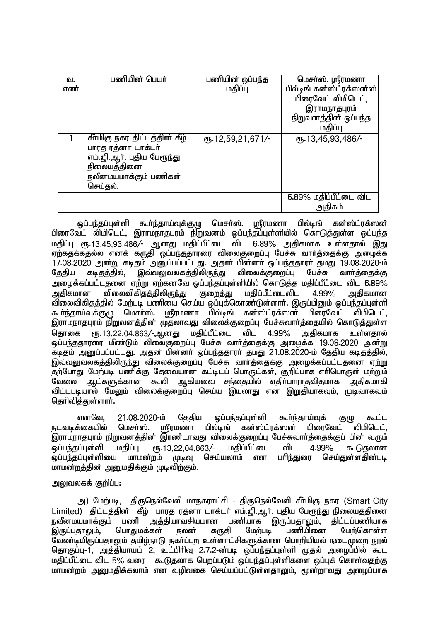| வ.  | பணியின் பெயர்                 | பணியின் ஒப்பந்த   | மெசர்ஸ். ஸ்ரீரமணா        |
|-----|-------------------------------|-------------------|--------------------------|
| எண் |                               | மதிப்பு           | பில்டிங் கன்ஸ்ட்ரக்ஸன்ஸ் |
|     |                               |                   | பிரைவேட் லிமிடெட்,       |
|     |                               |                   | இராமநாதபுரம்             |
|     |                               |                   | நிறுவனத்தின் ஒப்பந்த     |
|     |                               |                   | மதிப்பு                  |
|     | சீா்மிகு நகர திட்டத்தின் கீழ் | ரூ.12,59,21,671/- | ரு.13,45,93,486/-        |
|     | பாரத ரத்னா டாக்டர்            |                   |                          |
|     | எம்.ஜி.ஆா். புதிய பேரூந்து    |                   |                          |
|     | நிலையத்தினை                   |                   |                          |
|     | நவீனமயமாக்கும் பணிகள்         |                   |                          |
|     | செய்தல்.                      |                   |                          |
|     |                               |                   | 6.89% மதிப்பீட்டை விட    |
|     |                               |                   | அதிகம்                   |

ஒப்பந்தப்புள்ளி கூர்ந்தாய்வுக்குழு மெசர்ஸ். ஸ்ரீரமணா பில்டிங் கன்ஸ்ட்ரக்ஸன் பிரைவேட் லிமிடெட், இராமநாதபுரம் நிறுவனம் ஒப்பந்தப்புள்ளியில் கொடுத்துள்ள ஒப்பந்த மதிப்பு ரூ.13,45,93,486/- ஆனது மதிப்பீட்டை விட 6.89% அதிகமாக உள்ளதால் இது ஏற்கதக்கதல்ல எனக் கருதி ஓப்பந்ததாரரை விலைகுறைப்பு பேச்சு வாா்த்தைக்கு அழைக்க 17.08.2020 அன்று கடிதம் அனுப்பப்பட்டது. அதன் பின்னா் ஒப்பந்ததாரா் தமது 19.08.2020-ம்<br>தேதிய கடிதத்தில், இவ்வலுவலகத்திலிருந்து விலைக்குறைப்பு பேச்சு வாா்த்தைக்கு தேதிய கடிதத்தில், இவ்வலுவலகத்திலிருந்து விலைக்குறைப்பு பேச்சு வார்த்தைக்கு அழைக்கப்பட்டதனை ஏற்று ஏற்கனவே ஓப்பந்தப்புள்ளியில் கொடுத்த மதிப்பீட்டை விட 6.89%<br>அதிகமான விலைவிகிதத்திலிருந்து குறைத்து மதிப்பீட்டைவிட 4.99% அதிகமான அதிகமான விலைவிகிதத்திலிருந்து குறைத்து மதிப்பீட்டைவிட 4.99% அதிகமான விலைவிகிதத்தில் மேற்படி பணியை செய்ய ஒப்புக்கொண்டுள்ளாா். இருப்பினும் ஒப்பந்தப்புள்ளி கூர்ந்தாய்வுக்குழு மெசர்ஸ். ஸ்ரீரமணா பில்டிங் கன்ஸ்ட்ரக்ஸன் பிரைவேட் லிமிடெட், இராமநாதபுரம் நிறுவனத்தின் முதலாவது விலைக்குறைப்பு பேச்சுவார்த்தையில் கொடுத்துள்ள தொகை ரூ.13,22,04,863/-ஆனது மதிப்பீட்டை விட 4.99% அதிகமாக உள்ளதால் ஒப்பந்ததாரரை மீண்டும் விலைகுறைப்பு பேச்சு வார்த்தைக்கு அழைக்க 19.08.2020 அன்று கடிதம் அனுப்பப்பட்டது. அதன் பின்னா் ஒப்பந்ததாரா் தமது 21.08.2020-ம் தேதிய கடிதத்தில், இவ்வலுவலகத்திலிருந்து விலைக்குறைப்பு பேச்சு வார்த்தைக்கு அழைக்கப்பட்டதனை ஏற்று தற்போது மேற்படி பணிக்கு தேவையான கட்டிடப் பொருட்கள், குறிப்பாக எரிபொருள் மற்றும் வேலை ஆட்களுக்கான கூலி ஆகியவை சந்தையில் எதிர்பாராதவிதமாக அதிகமாகி விட்டபடியால் மேலும் விலைக்குறைப்பு செய்ய இயலாது என இறுதியாகவும், முடிவாகவும் கெரிவிக்குள்ளார்.

் எனவே, 21.08.2020-ம் தேதிய ஒப்பந்தப்புள்ளி கூர்ந்தாய்வுக் குழு கூட்ட<br>நடவடிக்கையில் மெசர்ஸ். மாீரமணா பில்டிங் கன்ஸ்ட்ரக்ஸன் பிரைவேட் லிமிடெட். மெசர்ஸ். ஸ்ரீரமணா பில்டிங் கன்ஸ்ட்ரக்ஸன் இராமநாதபுரம் நிறுவனத்தின் இரண்டாவது விலைக்குறைப்பு பேச்சுவார்த்தைக்குப் பின் வரும் ஒப்பந்தப்புள்ளி மதிப்பு ரூ.13,22,04,863/- மதிப்பீட்டை விட 4.99% கூடுதலான<br>ஒப்பந்தப்புள்ளியை மாமன்றம் முடிவு செய்யலாம் என பரிந்துரை செய்துள்ளகின்படி <u>லப்பந்தப்புள்ளியை மாமன்ற</u>ம் முடிவு மாமன்றக்தின் அனுமதிக்கும் முடிவிற்கும்.

### <u>அலு</u>வலகக் குறிப்பு:

அ) மேற்படி, திருநெல்வேலி மாநகராட்சி - திருநெல்வேலி சீர்மிகு நகர (Smart City Limited) திட்டத்தின் கீழ் பாரத ரத்னா டாக்டர் எம்.ஜி.ஆர். புதிய பேரூந்து நிலையத்தினை நவீனமயமாக்கும் பணி அத்தியாவசியமான பணியாக இருப்பதாலும், திட்டப்பணியாக<br>இருப்பதாலும். மொதுமக்கள் நலன் கருதி மேற்படி பணியினை மேற்கொள்ள இருப்பதாலும், பொதுமக்கள் நலன் கருதி மேற்படி பணியினை மேற்கொள்ள வேண்டியிருப்பதாலும் தமிழ்நாடு நகர்ப்புற உள்ளாட்சிகளுக்கான பொறியியல் நடைமுறை நூல் தொகுப்பு-1, அத்தியாயம் 2, உட்பிரிவு 2.7.2-ன்படி ஒப்பந்தப்புள்ளி முதல் அழைப்பில் கூட மதிப்பீட்டை விட 5% வரை கூடுதலாக பெறப்படும் ஒப்பந்தப்புள்ளிகளை ஒப்புக் கொள்வதற்கு மாமன்றம் அனுமதிக்கலாம் என வழிவகை செய்யப்பட்டுள்ளதாலும், மூன்றாவது அழைப்பாக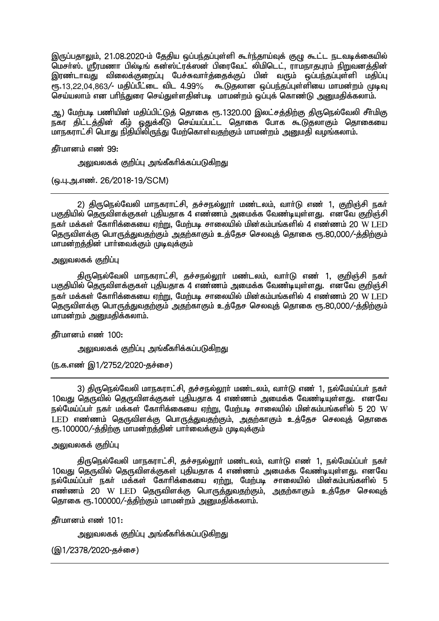இருப்பதாலும், 21.08.2020-ம் தேதிய ஒப்பந்தப்புள்ளி கூர்ந்தாய்வுக் குழு கூட்ட நடவடிக்கையில் மெசர்ஸ். ஸ்ரீரமணா பில்டிங் கன்ஸ்ட்ரக்ஸன் பிரைவேட் லிமிடெட், ராமநாதபுரம் நிறுவனத்தின் இரண்டாவது விலைக்குறைப்பு பேச்சுவார்த்தைக்குப் பின் வரும் ஒப்பந்தப்புள்ளி மதிப்பு ...<br>ரா..13.22.04,863/- மகிப்பீட்டை விட 4.99% கூடுதலான ஒப்பந்தப்புள்ளியை மாமன்றம் முடிவு .<br>செய்யலாம் என பரிந்துரை செய்துள்ளதின்படி, மாமன்றம் ஒப்புக் கொண்டு அறையதிக்கலாம்.

ஆ) மேற்படி பணியின் மதிப்பிட்டுத் தொகை ரூ.1320.00 இலட்சத்திற்கு திருநெல்வேலி சீர்மிகு நகர திட்டத்தின் கீழ் ஒதுக்கீடு செய்யப்பட்ட தொகை போக கூடுதலாகும் தொகையை மாநகராட்சி பொது நிதியிலிருந்து மேற்கொள்வதற்கும் மாமன்றம் அனுமதி வழங்கலாம்.

<u>கீர்மானம் எண் 99:</u>

அலுவலகக் குறிப்பு அங்கீகரிக்கப்படுக<u>ிறத</u>ு

(ஒ.பு.அ.எண். 26/2018-19/SCM)

2) திருநெல்வேலி மாநகராட்சி, தச்சநல்லூர் மண்டலம், வார்டு எண் 1, குறிஞ்சி நகர் பகுதியில் தெருவிளக்குகள் புதியதாக 4 எண்ணம் அமைக்க வேண்டியுள்ளது. எனவே குறிஞ்சி நகர் மக்கள் கோரிக்கையை ஏற்று, மேற்படி சாலையில் மின்கம்பங்களில் 4 எண்ணம் 20 W LED குருவிளக்கு பொருக்குவதற்கும் அதற்காகும் உக்கேச செலவுக் கொகை ரூ.80,000/-க்கிற்கும் மாமன்றத்தின் பார்வைக்கும் முடிவுக்கும்

அலுவலகக் குறிப்பு

திருநெல்வேலி மாநகராட்சி, தச்சநல்லூர் மண்டலம், வார்டு எண் 1, குறிஞ்சி நகர் பகுதியில் தெருவிளக்குகள் புதியதாக 4 எண்ணம் அமைக்க வேண்டியுள்ளது. எனவே குறிஞ்சி  $\overline{a}$ ந்துர் மக்கள் கோரிக்கையை எற்று. மேற்படி சாலையில் மின்கம்பங்களில் 4 எண்ணம் 20 W LED குருவிளக்கு பொருக்குவதற்கும் அதற்காகும் உக்கேச செலவுக் கொகை ரூ.80,000/-க்கிற்கும் மாமன்றம் அறைமதிக்கலாம்.

**தீர்மானம் எண் 100:** 

அலுவலகக் குறிப்பு அங்கீகரிக்கப்படுகிறது

(ந.க.எண் இ1/2752/2020-தச்சை)

3) திருநெல்வேலி மாநகராட்சி, தச்சநல்லூர் மண்டலம், வார்டு எண் 1, நல்மேய்ப்பர் நகர்  $10$ வது தெருவில் தெருவிளக்குகள் புதியதாக  $\bar{4}$  எண்ணம் அமைக்க வேண்டியுள்ளது. எனவே  $\,$ நல்மேய்ப்பர் நகர் மக்கள் கோரிக்கையை ஏற்று, மேற்படி சாலையில் மின்கம்பங்களில் 5 20 W LED எண்ணம் தெருவிளக்கு பொருத்துவதற்கும், அதற்காகும் உத்தேச செலவுத் தொகை ரூ.100000/-த்திற்கு மாமன்றத்தின் பார்வைக்கும் முடிவுக்கும்

### <u>அலுவலகக் குறிப்பு</u>

திருநெல்வேலி மாநகராட்சி, தச்சநல்லூர் மண்டலம், வார்டு எண் 1, நல்மேய்ப்பர் நகர் 10வது தெருவில் தெருவிளக்குகள் புதியதாக 4 எண்ணம் அமைக்க வேண்டியுள்ளது. எனவே நல்மேய்ப்பர் நகர் மக்கள் கோரிக்கையை ஏற்று, மேற்படி சாலையில் மின்கம்பங்களில் 5 எண்ணம் 20 W LED தெருவிளக்கு பொருத்துவதற்கும், அதற்காகும் உத்தேச செலவுத் கொகை ரூ.100000/-க்கிற்கும் மாமன்றம் அறையதிக்கலாம்.

 $f$ நீர்மானம் எண் $101$ :

அலுவலகக் குறிப்பு அங்கீகரிக்கப்படுகிறது

 $(Q(1/2378/2020 - 56.60)$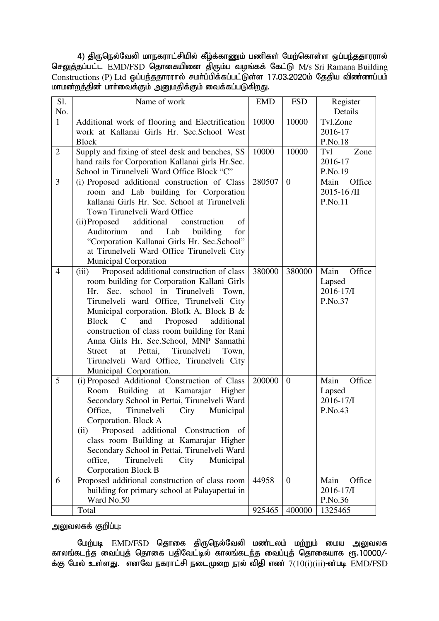4) திருநெல்வேலி மாநகராட்சியில் கீழ்க்காணும் பணிகள் மேற்கொள்ள ஒப்பந்ததாரரால் செலுத்தப்பட்ட EMD/FSD தொகையினை திரும்ப வழங்கக் கேட்டு M/s Sri Ramana Building  $Constructions$  (P) Ltd  $\ddot{\textbf{q}}$ ப்பந்ததாரரால் சமர்ப்பிக்கப்பட்டுள்ள 17.03.2020ம் தேதிய விண்ணப்பம் மாமன்றத்தின் பார்வைக்கும் அனுமதிக்கும் வைக்கப்படுகிறது.

| S1.            | Name of work                                                                        | <b>EMD</b> | <b>FSD</b>     | Register            |
|----------------|-------------------------------------------------------------------------------------|------------|----------------|---------------------|
| No.            |                                                                                     |            |                | Details             |
| $\overline{1}$ | Additional work of flooring and Electrification                                     | 10000      | 10000          | Tvl.Zone            |
|                | work at Kallanai Girls Hr. Sec. School West                                         |            |                | 2016-17             |
|                | <b>Block</b>                                                                        |            |                | P.No.18             |
| $\overline{2}$ | Supply and fixing of steel desk and benches, SS                                     | 10000      | 10000          | Tvl<br>Zone         |
|                | hand rails for Corporation Kallanai girls Hr.Sec.                                   |            |                | 2016-17             |
|                | School in Tirunelveli Ward Office Block "C"                                         |            |                | P.No.19             |
| 3              | (i) Proposed additional construction of Class                                       | 280507     | $\overline{0}$ | Office<br>Main      |
|                | room and Lab building for Corporation                                               |            |                | 2015-16 /II         |
|                | kallanai Girls Hr. Sec. School at Tirunelveli                                       |            |                | P.No.11             |
|                | Town Tirunelveli Ward Office                                                        |            |                |                     |
|                | (ii)Proposed<br>additional<br>construction<br>of                                    |            |                |                     |
|                | Auditorium<br>and<br>building<br>Lab<br>for                                         |            |                |                     |
|                | "Corporation Kallanai Girls Hr. Sec.School"                                         |            |                |                     |
|                | at Tirunelveli Ward Office Tirunelveli City                                         |            |                |                     |
|                | <b>Municipal Corporation</b>                                                        |            |                |                     |
| $\overline{4}$ | Proposed additional construction of class<br>(iii)                                  | 380000     | 380000         | Main<br>Office      |
|                | room building for Corporation Kallani Girls                                         |            |                | Lapsed              |
|                | school in Tirunelveli Town,<br>Sec.<br>Hr.                                          |            |                | $2016 - 17$ /I      |
|                | Tirunelveli ward Office, Tirunelveli City                                           |            |                | P.No.37             |
|                | Municipal corporation. Blofk A, Block B &                                           |            |                |                     |
|                | Block C<br>and<br>Proposed<br>additional                                            |            |                |                     |
|                | construction of class room building for Rani                                        |            |                |                     |
|                | Anna Girls Hr. Sec.School, MNP Sannathi                                             |            |                |                     |
|                | Tirunelveli<br><b>Street</b><br>at<br>Pettai,<br>Town,                              |            |                |                     |
|                | Tirunelveli Ward Office, Tirunelveli City                                           |            |                |                     |
|                | Municipal Corporation.                                                              |            |                |                     |
| 5              | (i) Proposed Additional Construction of Class                                       | 200000     | $\overline{0}$ | Main<br>Office      |
|                | Room<br>Building at Kamarajar<br>Higher                                             |            |                | Lapsed<br>2016-17/I |
|                | Secondary School in Pettai, Tirunelveli Ward<br>Office,<br>Tirunelveli<br>Municipal |            |                | P.No.43             |
|                | City<br>Corporation. Block A                                                        |            |                |                     |
|                | (ii)<br>Proposed additional<br>Construction                                         |            |                |                     |
|                | - of<br>class room Building at Kamarajar Higher                                     |            |                |                     |
|                | Secondary School in Pettai, Tirunelveli Ward                                        |            |                |                     |
|                | office,<br>Tirunelveli<br>City<br>Municipal                                         |            |                |                     |
|                | <b>Corporation Block B</b>                                                          |            |                |                     |
| 6              | Proposed additional construction of class room                                      | 44958      | $\overline{0}$ | Office<br>Main      |
|                | building for primary school at Palayapettai in                                      |            |                | 2016-17/I           |
|                | Ward No.50                                                                          |            |                | P.No.36             |
|                | Total                                                                               | 925465     | 400000         | 1325465             |

அலுவலகக் குறிப்பு:

மேற்படி EMD/FSD தொகை திருநெல்வேலி மண்டலம் மற்றும் மைய அலுவலக காலங்கடந்த வைப்புத் தொகை பதிவேட்டில் காலங்கடந்த வைப்புத் தொகையாக ரூ.10000/-க்கு மேல் உள்ளது. எனவே நகராட்சி நடைமுறை நூல் விதி எண  $7(10(i)(iii)$ -ன்படி  $\overline{\rm EMD}$ /FSD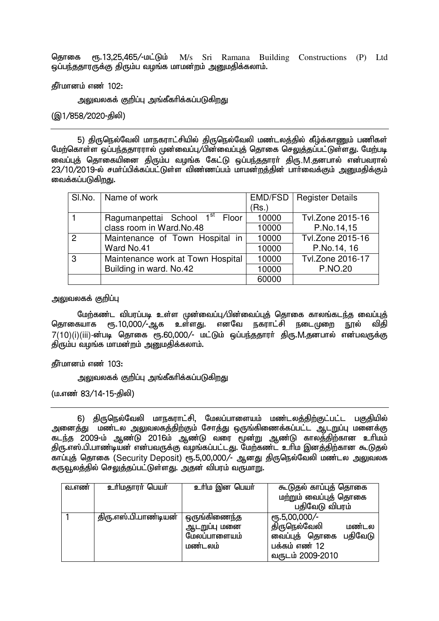தொகை ரூ.13,25,465/-மட்டும் M/s Sri Ramana Building Constructions (P) Ltd <u>ஓப்பந்ததாரருக்கு</u> திரும்ப வழங்க மாமன்றம் அறுமதிக்கலாம்.

கீர்மானம் எண் $102$ :

அலுவலகக் குறிப்பு அங்கீகரிக்கப்படுகிறது

 $($ @1/858/2020-கிலி)

5) திருநெல்வேலி மாநகராட்சியில் திருநெல்வேலி மண்டலத்தில் கீழ்க்காணும் பணிகள் மேற்கொள்ள ஒப்பந்ததாரரால் முன்வைப்பு/பின்வைப்புத் தொகை செலுத்தப்பட்டுள்ளது. மேற்படி ் வைப்புத் தொகையினை திரும்ப வழங்க கேட்டு ஒப்பந்ததாரர் திரு.M.தனபால் என்பவரால் 23/10/2019-ல் சமர்ப்பிக்கப்பட்டுள்ள விண்ணப்பம் மாமன்றத்தின் பார்வைக்கும் அனுமதிக்கும் வைக்கப்படுகிறது.

|   | SI.No.   Name of work                      |       | <b>EMD/FSD</b>   Register Details |
|---|--------------------------------------------|-------|-----------------------------------|
|   |                                            | (Rs.) |                                   |
|   | Ragumanpettai School 1 <sup>st</sup> Floor | 10000 | Tvl.Zone 2015-16                  |
|   | class room in Ward.No.48                   | 10000 | P.No.14,15                        |
| 2 | Maintenance of Town Hospital in            | 10000 | Tvl.Zone 2015-16                  |
|   | Ward No.41                                 | 10000 | P.No.14, 16                       |
| 3 | Maintenance work at Town Hospital          | 10000 | Tvl.Zone 2016-17                  |
|   | Building in ward. No.42                    | 10000 | <b>P.NO.20</b>                    |
|   |                                            | 60000 |                                   |

அலுவலகக் குறிப்ப<del>ு</del>

மேற்கண்ட விபரப்படி உள்ள முன்வைப்பு/பின்வைப்புத் தொகை காலங்கடந்த வைப்புத்<br>கயாக எ. 10.000/-ஆக உள்ளகு. எனவே நகராட்சி நடைமுளை நால் விகி தொகையாக ரூ.10,000/-ஆக உள்ளது. எனவே நகராட்சி நடைமுறை நூல்  $7(10)(i)(ii)$ -ன்படி தொகை ரூ.60,000/- மட்டும் ஒப்பந்ததாரா் திரு.M.தனபால் என்பவருக்கு திரும்ப வழங்க மாமன்றம் அனுமதிக்கலாம்.

**தீர்மானம் எண் 103:** 

அலுவலகக் குறிப்பு அங்கீகரிக்கப்படுகிறது

(ம.எண் 83/14-15-திலி)

6) கிருநெல்வேலி மாநகாாட்சி. மேலப்பாளையம் மண்டலக்கிற்குட்பட்ட பகுகியில் <u>அனைத்து மண்டல அலுவலகத்திற்கும் சோத்து ஒருங்</u>கிணைக்கப்பட்ட <u>ஆடறு</u>ப்பு மனைக்கு கடந்த 2009-ம் ஆண்டு 2016ம் ஆண்டு வரை மூன்று ஆண்டு காலத்திற்கான உரிமம் திரு.எஸ்.பி.பாண்டியன் என்பவருக்கு வழங்கப்பட்டது. மேற்கண்ட உரிம இனத்திற்கான கூடுதல் காப்புத் தொகை (Security Deposit) ரூ.5,00,000/- ஆனது திருநெல்வேலி மண்டல அலுவலக கருவூலத்தில் செலுத்தப்பட்டுள்ளது. அதன் விபரம் வருமாறு.

| வ.எண் | உரிமதாரர் பெயர்       | உரிம இன பெயர் | கூடுதல் காப்புத் தொகை  |  |
|-------|-----------------------|---------------|------------------------|--|
|       |                       |               | மற்றும் வைப்புத் தொகை  |  |
|       |                       |               | பதிவேடு விபரம்         |  |
|       | திரு.எஸ்.பி.பாண்டியன் | ஒருங்கிணைந்த  | $\sqrt{10,5,00,000/-}$ |  |
|       |                       | ஆடறுப்பு மனை  | திருநெல்வேலி<br>மண்டல  |  |
|       |                       | மேலப்பாளையம்  | வைப்புத் தொகை பதிவேடு  |  |
|       |                       | மண்டலம்       | பக்கம் எண் 12          |  |
|       |                       |               | வருடம் 2009-2010       |  |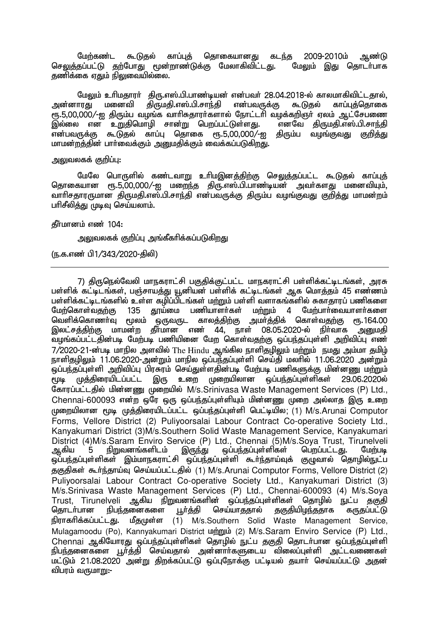மேற்கண்ட கூடுதல் காப்புத் தொகையானது கடந்த 2009-2010ம் ஆண்டு<br>தப்பட்டு தற்போது மூன்றாண்டுக்கு மேலாகிவிட்டது. மேலும் இது தொடர்பாக செலுத்தப்பட்டு தற்போது மூன்றாண்டுக்கு மேலாகிவிட்டது. தணிக்கை ஏதும் நிலுவையில்லை.

மேலும் உரிமதாரா் திரு.எஸ்.பி.பாண்டியன் என்பவா் 28.04.2018-ல் காலமாகிவிட்டதால்,<br>ாரது மனைவி திருமதி.எஸ்.பி.சாந்தி என்பவருக்கு கூடுதல் காப்புத்தொகை அன்னாரது மனைவி கிருமதி.எஸ்.பி.சாந்தி ரூ.5,00,000/-ஐ திரும்ப வழங்க வாரிசுதாரா்களால் நோட்டாி வழக்கறிஞா் ஏலம் ஆட்சேபணை<br>இல்லை என உறுதிமொழி சான்று பெறப்பட்டுள்ளது. எனவே திருமதி.எஸ்.பி.சாந்தி ,இல்லை என உறுதிமொழி சான்று பெறப்பட்டுள்ளது. எனவே திருமதி.எஸ்.பி.சாந்தி<br>என்பவருக்கு கூடுதல் காப்பு தொகை ரூ.5,00,000/-ஐ திரும்ப வமங்குவது குறிக்கு காப்பு கொகை  $r$ ஈ.5.00.000/-ഇ மாமன்றத்தின் பார்வைக்கும் அனுமதிக்கும் வைக்கப்படுகிறது.

### அலுவலகக் குறிப்பு:

மேலே பொருளில் கண்டவாறு உரிமஇனக்கிற்கு செலுக்கப்பட்ட கூடுகல் காப்புக் தொகையான ரூ.5,00,000/-ஐ மறைந்த திரு.எஸ்.பி.பாண்டியன் அவர்களது மனைவியும். வாரிசதாரருமான திருமதி.எஸ்.பி.சாந்தி என்பவருக்கு திரும்ப வழங்குவது குறித்து மாமன்றம் பரிசீலித்து முடிவு செய்யலாம்.

#### கீர்மானம் எண் $104$ :

அலுவலகக் குறிப்பு அங்கீகரிக்கப்படுகி<u>றத</u>ு

(ந.க.எண் பி1/343/2020-கிலி)

7) திருநெல்வேலி மாநகராட்சி பகுதிக்குட்பட்ட மாநகராட்சி பள்ளிக்கட்டிடங்கள், அரசு பள்ளிக் கட்டிடங்கள், பஞ்சாயத்து யூனியன் பள்ளிக் கட்டிடங்கள் ஆக மொத்தம் 45 எண்ணம் பள்ளிக்கட்டிடங்களில் உள்ள கழிப்பிடங்கள் மற்றும் பள்ளி வளாகங்களில் சுகாதாரப் பணிகளை<br>மேற்கொள்வதற்கு 135 தூய்மை பணியாளர்கள் மற்றும் 4 மேற்பார்வையாளர்களை ணியாளர்கள் மற்றும் 4 மேற்பார்வையாளர்களை<br>காலத்திற்கு அமர்த்திக் கொள்வதற்கு ரூ.164.00 வெளிக்கொணா்வ மூலம் ஒருவருட இலட்சத்திற்கு மாமன்ற தீர்மான எண் 44, நாள் 08.05.2020-ல் நிர்வாக அனுமதி ்வழங்கப்பட்டதின்படி மேற்படி பணியினை மேற கொள்வதற்கு ஒப்பந்தப்புள்ளி அறிவிப்பு எண்  $7/2020$ -21-ன்படி மாநில அளவில் The Hindu ஆங்கில நாளிதழிலும் மற்றும் நமது அம்மா தமிழ் நாளிகமிலம் 11.06.2020-அன்றம் மாநில ஒப்பந்கப்பள்ளி செய்கி மலரில் 11.06.2020 அன்றம் .<br>ஒப்பந்தப்புள்ளி அறிவிப்பு பிரசுரம் செய்துள்ளதின்படி மேற்படி பணிகளுக்கு மின்னணு மற்றும்<br>மூடி முத்திரையிடப்பட்ட இரு உறை முறையிலான லுப்பந்தப்புள்ளிகள் 29.06.2020ல் ,<br>முடி முத்திரையிடப்பட்ட இரு உறை முறையிலான ஒப்பந்தப்புள்ளிகள் 29.06.2020ல் கோரப்பட்டதில் மின்னணு முறையில் M/s.Srinivasa Waste Management Services (P) Ltd., Chennai-600093 என்ற ஒரே ஒரு ஒப்பந்தப்புள்ளியும் மின்னணு முறை அல்லாத இரு உறை முறையிலான மூடி முத்திரையிடப்பட்ட ஒப்பந்தப்புள்ளி பெட்டியில; (1) M/s.Arunai Computor Forms, Vellore District (2) Puliyoorsalai Labour Contract Co-operative Society Ltd., Kanyakumari District (3)M/s.Southern Solid Waste Management Service, Kanyakumari District (4)M/s.Saram Enviro Service (P) Ltd., Chennai (5)M/s.Soya Trust, Tirunelveli<br>ஆகிய 5 நிறுவனங்களிடம் இருந்து ஒப்பந்தப்புள்ளிகள் பெறப்பட்டது. மேற்படி லப்பந்தப்புள்ளிகள் ஒப்பந்தப்புள்ளிகள் இம்மாநகராட்சி ஒப்பந்தப்புள்ளி கூர்ந்தாய்வுக் குழுவால் தொழில்நுட்ப தகுதிகள் கூர்ந்தாய்வு செய்யப்பட்டதில் (1) M/s.Arunai Computor Forms, Vellore District (2) Puliyoorsalai Labour Contract Co-operative Society Ltd., Kanyakumari District (3) M/s.Srinivasa Waste Management Services (P) Ltd., Chennai-600093 (4) M/s.Soya Trust, Tirunelveli ஆகிய நிறுவனங்களின் ஒப்பந்தப்புள்ளிகள் தொழில் நுட்ப தகுதி<br>தொடா்பான நிபந்தனைகளை பூா்த்தி செய்யாததால் தகுதியிழந்ததாக கருதப்பட்டு தொடா்பான நிபந்தனைகளை பூா்த்தி செய்யாததால் தகுதியிழந்ததாக கருதப்பட்டு நிராகரிக்கப்பட்டது. மீதமுள்ள (1) M/s.Southern Solid Waste Management Service, Mulagamoodu (Po), Kannyakumari District  $\omega$ mimu (2) M/s.Saram Enviro Service (P) Ltd., Chennai ஆகியோரது ஒப்பந்தப்புள்ளிகள் தொழில் நுட்ப தகுதி தொடர்பான ஒப்பந்தப்புள்ளி epge;jidfis G+h;j;jp nra;tjhy; md;dhh;fSila tpiyg;Gs;sp ml;ltizfs; ்மட்டும் 21.08.2020 அன்று கிறக்கப்பட்டு ஒப்புநோக்கு பட்டியல் கயார் செய்யப்பட்டு அகன் விபாம் வருமாm:-